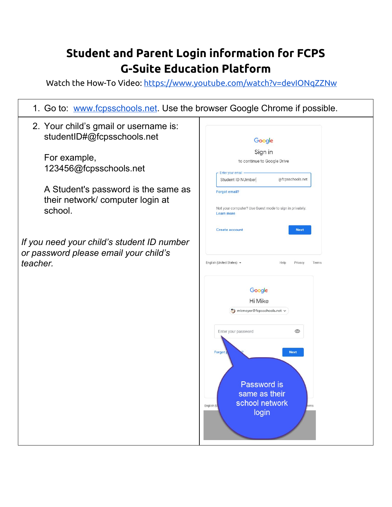## **Student and Parent Login information for FCPS G-Suite Education Platform**

Watch the How-To Video: <https://www.youtube.com/watch?v=devIONqZZNw>

| 1. Go to: www.fcpsschools.net. Use the browser Google Chrome if possible.                       |                                                                                                                                                                            |
|-------------------------------------------------------------------------------------------------|----------------------------------------------------------------------------------------------------------------------------------------------------------------------------|
| 2. Your child's gmail or username is:<br>studentID#@fcpsschools.net                             | Google                                                                                                                                                                     |
| For example,<br>123456@fcpsschools.net                                                          | Sign in<br>to continue to Google Drive<br>Enter your email<br>@fcpsschools.net<br>Student ID NUmber                                                                        |
| A Student's password is the same as<br>their network/computer login at<br>school.               | Forgot email?<br>Not your computer? Use Guest mode to sign in privately.<br><b>Learn more</b>                                                                              |
| If you need your child's student ID number<br>or password please email your child's<br>teacher. | Create account<br><b>Next</b><br>English (United States) =<br>Help<br>Privacy<br>Terms                                                                                     |
|                                                                                                 | Google<br>Hi Mike<br>mkmeyer@fcpsschools.net v<br>⊚<br>Enter your password<br>Forgot<br><b>Next</b><br>Password is<br>same as their<br>school network<br>English (L<br>rms |
|                                                                                                 | login                                                                                                                                                                      |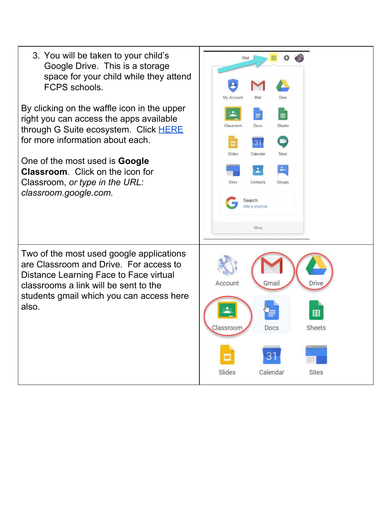| 3. You will be taken to your child's<br>Google Drive. This is a storage<br>space for your child while they attend<br>FCPS schools.<br>By clicking on the waffle icon in the upper<br>right you can access the apps available<br>through G Suite ecosystem. Click HERE<br>for more information about each.<br>One of the most used is <b>Google</b><br><b>Classroom.</b> Click on the icon for<br>Classroom, or type in the URL:<br>classroom.google.com. | 冊<br>Mail<br>My Account<br>Mail<br>Drive<br>田<br>Docs<br><b>Sheets</b><br>Classroom<br>3 <sup>1</sup><br>Calendar<br>Slides<br>Meet<br>Contacts<br><b>Sites</b><br>Groups<br>Search<br>Add a shortcut<br>More |
|----------------------------------------------------------------------------------------------------------------------------------------------------------------------------------------------------------------------------------------------------------------------------------------------------------------------------------------------------------------------------------------------------------------------------------------------------------|---------------------------------------------------------------------------------------------------------------------------------------------------------------------------------------------------------------|
| Two of the most used google applications<br>are Classroom and Drive. For access to<br>Distance Learning Face to Face virtual<br>classrooms a link will be sent to the<br>students gmail which you can access here<br>also.                                                                                                                                                                                                                               | Account<br>Gmail<br>Drive<br>Sheets<br>Docs<br>Classroom<br>31<br>Slides<br>Calendar<br>Sites                                                                                                                 |